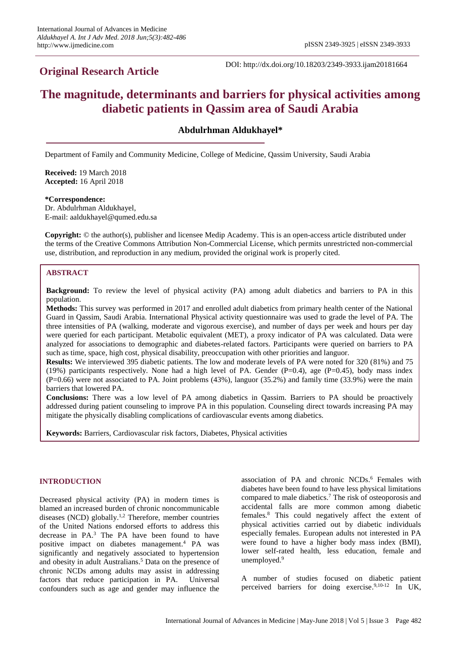## **Original Research Article**

DOI: http://dx.doi.org/10.18203/2349-3933.ijam20181664

# **The magnitude, determinants and barriers for physical activities among diabetic patients in Qassim area of Saudi Arabia**

**Abdulrhman Aldukhayel\***

Department of Family and Community Medicine, College of Medicine, Qassim University, Saudi Arabia

**Received:** 19 March 2018 **Accepted:** 16 April 2018

#### **\*Correspondence:**

Dr. Abdulrhman Aldukhayel, E-mail: aaldukhayel@qumed.edu.sa

**Copyright:** © the author(s), publisher and licensee Medip Academy. This is an open-access article distributed under the terms of the Creative Commons Attribution Non-Commercial License, which permits unrestricted non-commercial use, distribution, and reproduction in any medium, provided the original work is properly cited.

## **ABSTRACT**

**Background:** To review the level of physical activity (PA) among adult diabetics and barriers to PA in this population.

**Methods:** This survey was performed in 2017 and enrolled adult diabetics from primary health center of the National Guard in Qassim, Saudi Arabia. International Physical activity questionnaire was used to grade the level of PA. The three intensities of PA (walking, moderate and vigorous exercise), and number of days per week and hours per day were queried for each participant. Metabolic equivalent (MET), a proxy indicator of PA was calculated. Data were analyzed for associations to demographic and diabetes-related factors. Participants were queried on barriers to PA such as time, space, high cost, physical disability, preoccupation with other priorities and languor.

**Results:** We interviewed 395 diabetic patients. The low and moderate levels of PA were noted for 320 (81%) and 75 (19%) participants respectively. None had a high level of PA. Gender (P=0.4), age (P=0.45), body mass index (P=0.66) were not associated to PA. Joint problems (43%), languor (35.2%) and family time (33.9%) were the main barriers that lowered PA.

**Conclusions:** There was a low level of PA among diabetics in Qassim. Barriers to PA should be proactively addressed during patient counseling to improve PA in this population. Counseling direct towards increasing PA may mitigate the physically disabling complications of cardiovascular events among diabetics.

**Keywords:** Barriers, Cardiovascular risk factors, Diabetes, Physical activities

## **INTRODUCTION**

Decreased physical activity (PA) in modern times is blamed an increased burden of chronic noncommunicable diseases (NCD) globally. 1,2 Therefore, member countries of the United Nations endorsed efforts to address this decrease in PA. <sup>3</sup> The PA have been found to have positive impact on diabetes management. <sup>4</sup> PA was significantly and negatively associated to hypertension and obesity in adult Australians. <sup>5</sup> Data on the presence of chronic NCDs among adults may assist in addressing factors that reduce participation in PA. Universal confounders such as age and gender may influence the

association of PA and chronic NCDs. <sup>6</sup> Females with diabetes have been found to have less physical limitations compared to male diabetics. <sup>7</sup> The risk of osteoporosis and accidental falls are more common among diabetic females. <sup>8</sup> This could negatively affect the extent of physical activities carried out by diabetic individuals especially females. European adults not interested in PA were found to have a higher body mass index (BMI), lower self-rated health, less education, female and unemployed. 9

A number of studies focused on diabetic patient perceived barriers for doing exercise. 9,10-12 In UK,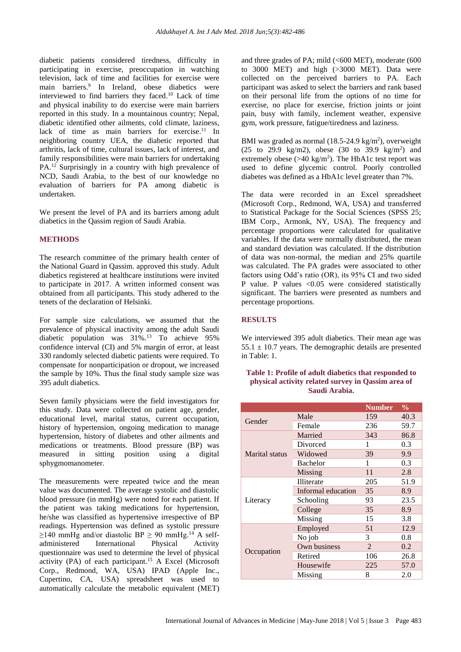diabetic patients considered tiredness, difficulty in participating in exercise, preoccupation in watching television, lack of time and facilities for exercise were main barriers. 9 In Ireland, obese diabetics were interviewed to find barriers they faced. <sup>10</sup> Lack of time and physical inability to do exercise were main barriers reported in this study. In a mountainous country; Nepal, diabetic identified other ailments, cold climate, laziness, lack of time as main barriers for exercise.<sup>11</sup> In neighboring country UEA, the diabetic reported that arthritis, lack of time, cultural issues, lack of interest, and family responsibilities were main barriers for undertaking PA.<sup>12</sup> Surprisingly in a country with high prevalence of NCD, Saudi Arabia, to the best of our knowledge no evaluation of barriers for PA among diabetic is undertaken.

We present the level of PA and its barriers among adult diabetics in the Qassim region of Saudi Arabia.

## **METHODS**

The research committee of the primary health center of the National Guard in Qassim. approved this study. Adult diabetics registered at healthcare institutions were invited to participate in 2017. A written informed consent was obtained from all participants. This study adhered to the tenets of the declaration of Helsinki.

For sample size calculations, we assumed that the prevalence of physical inactivity among the adult Saudi diabetic population was 31%. <sup>13</sup> To achieve 95% confidence interval (CI) and 5% margin of error, at least 330 randomly selected diabetic patients were required. To compensate for nonparticipation or dropout, we increased the sample by 10%. Thus the final study sample size was 395 adult diabetics.

Seven family physicians were the field investigators for this study. Data were collected on patient age, gender, educational level, marital status, current occupation, history of hypertension, ongoing medication to manage hypertension, history of diabetes and other ailments and medications or treatments. Blood pressure (BP) was measured in sitting position using a digital sphygmomanometer.

The measurements were repeated twice and the mean value was documented. The average systolic and diastolic blood pressure (in mmHg) were noted for each patient. If the patient was taking medications for hypertension, he/she was classified as hypertensive irrespective of BP readings. Hypertension was defined as systolic pressure  $≥140$  mmHg and/or diastolic BP  $≥$  90 mmHg.<sup>14</sup> A selfadministered International Physical Activity questionnaire was used to determine the level of physical activity (PA) of each participant. <sup>15</sup> A Excel (Microsoft Corp., Redmond, WA, USA) IPAD (Apple Inc., Cupertino, CA, USA) spreadsheet was used to automatically calculate the metabolic equivalent (MET) and three grades of PA; mild  $( $600$  MET), moderate  $(600$$ to 3000 MET) and high (>3000 MET). Data were collected on the perceived barriers to PA. Each participant was asked to select the barriers and rank based on their personal life from the options of no time for exercise, no place for exercise, friction joints or joint pain, busy with family, inclement weather, expensive gym, work pressure, fatigue/tiredness and laziness.

BMI was graded as normal  $(18.5\n-24.9 \text{ kg/m}^2)$ , overweight (25 to 29.9 kg/m2), obese  $(30 \text{ to } 39.9 \text{ kg/m}^2)$  and extremely obese  $(>40 \text{ kg/m}^2)$ . The HbA1c test report was used to define glycemic control. Poorly controlled diabetes was defined as a HbA1c level greater than 7%.

The data were recorded in an Excel spreadsheet (Microsoft Corp., Redmond, WA, USA) and transferred to Statistical Package for the Social Sciences (SPSS 25; IBM Corp., Armonk, NY, USA). The frequency and percentage proportions were calculated for qualitative variables. If the data were normally distributed, the mean and standard deviation was calculated. If the distribution of data was non-normal, the median and 25% quartile was calculated. The PA grades were associated to other factors using Odd's ratio (OR), its 95% CI and two sided P value. P values <0.05 were considered statistically significant. The barriers were presented as numbers and percentage proportions.

## **RESULTS**

We interviewed 395 adult diabetics. Their mean age was  $55.1 \pm 10.7$  years. The demographic details are presented in Table: 1.

### **Table 1: Profile of adult diabetics that responded to physical activity related survey in Qassim area of Saudi Arabia.**

|                |                    | <b>Number</b>  | $\frac{0}{0}$ |
|----------------|--------------------|----------------|---------------|
| Gender         | Male               | 159            | 40.3          |
|                | Female             | 236            | 59.7          |
|                | Married            | 343            | 86.8          |
|                | Divorced           | 1              | 0.3           |
| Marital status | Widowed            | 39             | 9.9           |
|                | <b>Bachelor</b>    | 1              | 0.3           |
|                | Missing            | 11             | 2.8           |
| Literacy       | Illiterate         | 205            | 51.9          |
|                | Informal education | 35             | 8.9           |
|                | Schooling          | 93             | 23.5          |
|                | College            | 35             | 8.9           |
|                | Missing            | 15             | 3.8           |
| Occupation     | Employed           | 51             | 12.9          |
|                | No job             | 3              | 0.8           |
|                | Own business       | $\mathfrak{D}$ | 0.2           |
|                | Retired            | 106            | 26.8          |
|                | Housewife          | 225            | 57.0          |
|                | Missing            | 8              | 2.0           |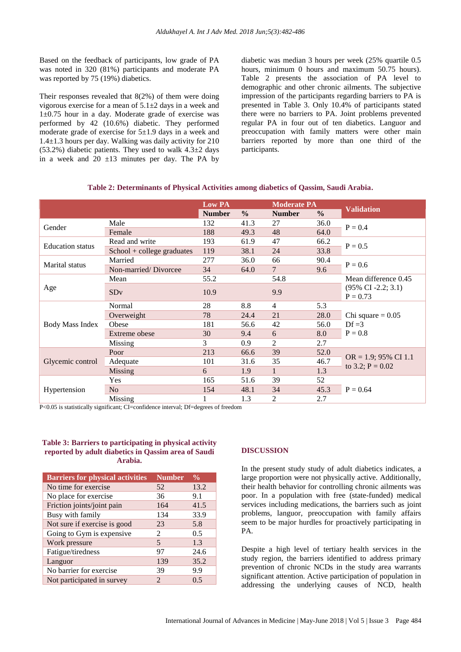Based on the feedback of participants, low grade of PA was noted in 320 (81%) participants and moderate PA was reported by 75 (19%) diabetics.

Their responses revealed that 8(2%) of them were doing vigorous exercise for a mean of  $5.1\pm 2$  days in a week and 1±0.75 hour in a day. Moderate grade of exercise was performed by 42 (10.6%) diabetic. They performed moderate grade of exercise for  $5\pm1.9$  days in a week and 1.4±1.3 hours per day. Walking was daily activity for 210  $(53.2\%)$  diabetic patients. They used to walk  $4.3\pm2$  days in a week and 20  $\pm$ 13 minutes per day. The PA by diabetic was median 3 hours per week (25% quartile 0.5 hours, minimum 0 hours and maximum 50.75 hours). Table 2 presents the association of PA level to demographic and other chronic ailments. The subjective impression of the participants regarding barriers to PA is presented in Table 3. Only 10.4% of participants stated there were no barriers to PA. Joint problems prevented regular PA in four out of ten diabetics. Languor and preoccupation with family matters were other main barriers reported by more than one third of the participants.

|                         |                              | Low PA        |               | <b>Moderate PA</b> |               |                                               |  |
|-------------------------|------------------------------|---------------|---------------|--------------------|---------------|-----------------------------------------------|--|
|                         |                              | <b>Number</b> | $\frac{0}{0}$ | <b>Number</b>      | $\frac{0}{0}$ | <b>Validation</b>                             |  |
| Gender                  | Male                         | 132           | 41.3          | 27                 | 36.0          | $P = 0.4$                                     |  |
|                         | Female                       | 188           | 49.3          | 48                 | 64.0          |                                               |  |
| <b>Education</b> status | Read and write               | 193           | 61.9          | 47                 | 66.2          | $P = 0.5$                                     |  |
|                         | $School + college$ graduates | 119           | 38.1          | 24                 | 33.8          |                                               |  |
| Marital status          | Married                      | 277           | 36.0          | 66                 | 90.4          | $P = 0.6$                                     |  |
|                         | Non-married/Divorcee         | 34            | 64.0          | $\overline{7}$     | 9.6           |                                               |  |
|                         | Mean                         | 55.2          |               | 54.8               |               | Mean difference 0.45                          |  |
| Age                     | SDv                          | 10.9          |               | 9.9                |               | $(95\% \text{ CI } -2.2; 3.1)$<br>$P = 0.73$  |  |
| <b>Body Mass Index</b>  | Normal                       | 28            | 8.8           | $\overline{4}$     | 5.3           |                                               |  |
|                         | Overweight                   | 78            | 24.4          | 21                 | 28.0          | Chi square $= 0.05$                           |  |
|                         | Obese                        | 181           | 56.6          | 42                 | 56.0          | $Df = 3$<br>$P = 0.8$                         |  |
|                         | Extreme obese                | 30            | 9.4           | 6                  | 8.0           |                                               |  |
|                         | Missing                      | 3             | 0.9           | $\overline{2}$     | 2.7           |                                               |  |
| Glycemic control        | Poor                         | 213           | 66.6          | 39                 | 52.0          | $OR = 1.9$ ; 95% CI 1.1<br>to 3.2; $P = 0.02$ |  |
|                         | Adequate                     | 101           | 31.6          | 35                 | 46.7          |                                               |  |
|                         | <b>Missing</b>               | 6             | 1.9           |                    | 1.3           |                                               |  |
|                         | Yes                          | 165           | 51.6          | 39                 | 52            |                                               |  |
| Hypertension            | N <sub>o</sub>               | 154           | 48.1          | 34                 | 45.3          | $P = 0.64$                                    |  |
|                         | Missing                      | 1             | 1.3           | $\overline{2}$     | 2.7           |                                               |  |

| Table 2: Determinants of Physical Activities among diabetics of Qassim, Saudi Arabia. |  |  |  |  |  |  |  |
|---------------------------------------------------------------------------------------|--|--|--|--|--|--|--|
|---------------------------------------------------------------------------------------|--|--|--|--|--|--|--|

P<0.05 is statistically significant; CI=confidence interval; Df=degrees of freedom

### **Table 3: Barriers to participating in physical activity reported by adult diabetics in Qassim area of Saudi Arabia.**

| <b>Barriers for physical activities</b> | <b>Number</b>               | $\frac{0}{0}$ |
|-----------------------------------------|-----------------------------|---------------|
| No time for exercise                    | 52                          | 13.2          |
| No place for exercise                   | 36                          | 9.1           |
| Friction joints/joint pain              | 164                         | 41.5          |
| Busy with family                        | 134                         | 33.9          |
| Not sure if exercise is good            | 23                          | 5.8           |
| Going to Gym is expensive               | 2                           | 0.5           |
| Work pressure                           | 5                           | 1.3           |
| Fatigue/tiredness                       | 97                          | 24.6          |
| Languor                                 | 139                         | 35.2          |
| No barrier for exercise                 | 39                          | 9.9           |
| Not participated in survey              | $\mathcal{D}_{\mathcal{L}}$ | 0.5           |

## **DISCUSSION**

In the present study study of adult diabetics indicates, a large proportion were not physically active. Additionally, their health behavior for controlling chronic ailments was poor. In a population with free (state-funded) medical services including medications, the barriers such as joint problems, languor, preoccupation with family affairs seem to be major hurdles for proactively participating in PA.

Despite a high level of tertiary health services in the study region, the barriers identified to address primary prevention of chronic NCDs in the study area warrants significant attention. Active participation of population in addressing the underlying causes of NCD, health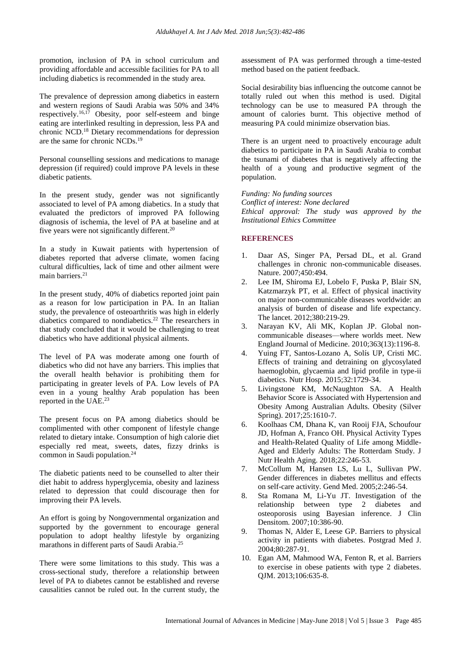promotion, inclusion of PA in school curriculum and providing affordable and accessible facilities for PA to all including diabetics is recommended in the study area.

The prevalence of depression among diabetics in eastern and western regions of Saudi Arabia was 50% and 34% respectively. 16,17 Obesity, poor self-esteem and binge eating are interlinked resulting in depression, less PA and chronic NCD. <sup>18</sup> Dietary recommendations for depression are the same for chronic NCDs. 19

Personal counselling sessions and medications to manage depression (if required) could improve PA levels in these diabetic patients.

In the present study, gender was not significantly associated to level of PA among diabetics. In a study that evaluated the predictors of improved PA following diagnosis of ischemia, the level of PA at baseline and at five years were not significantly different.<sup>20</sup>

In a study in Kuwait patients with hypertension of diabetes reported that adverse climate, women facing cultural difficulties, lack of time and other ailment were main barriers. 21

In the present study, 40% of diabetics reported joint pain as a reason for low participation in PA. In an Italian study, the prevalence of osteoarthritis was high in elderly diabetics compared to nondiabetics. <sup>22</sup> The researchers in that study concluded that it would be challenging to treat diabetics who have additional physical ailments.

The level of PA was moderate among one fourth of diabetics who did not have any barriers. This implies that the overall health behavior is prohibiting them for participating in greater levels of PA. Low levels of PA even in a young healthy Arab population has been reported in the UAE. 23

The present focus on PA among diabetics should be complimented with other component of lifestyle change related to dietary intake. Consumption of high calorie diet especially red meat, sweets, dates, fizzy drinks is common in Saudi population.<sup>24</sup>

The diabetic patients need to be counselled to alter their diet habit to address hyperglycemia, obesity and laziness related to depression that could discourage then for improving their PA levels.

An effort is going by Nongovernmental organization and supported by the government to encourage general population to adopt healthy lifestyle by organizing marathons in different parts of Saudi Arabia. 25

There were some limitations to this study. This was a cross-sectional study, therefore a relationship between level of PA to diabetes cannot be established and reverse causalities cannot be ruled out. In the current study, the assessment of PA was performed through a time-tested method based on the patient feedback.

Social desirability bias influencing the outcome cannot be totally ruled out when this method is used. Digital technology can be use to measured PA through the amount of calories burnt. This objective method of measuring PA could minimize observation bias.

There is an urgent need to proactively encourage adult diabetics to participate in PA in Saudi Arabia to combat the tsunami of diabetes that is negatively affecting the health of a young and productive segment of the population.

*Funding: No funding sources Conflict of interest: None declared Ethical approval: The study was approved by the Institutional Ethics Committee*

## **REFERENCES**

- 1. Daar AS, Singer PA, Persad DL, et al. Grand challenges in chronic non-communicable diseases. Nature. 2007;450:494.
- 2. Lee IM, Shiroma EJ, Lobelo F, Puska P, Blair SN, Katzmarzyk PT, et al. Effect of physical inactivity on major non-communicable diseases worldwide: an analysis of burden of disease and life expectancy. The lancet. 2012;380:219-29.
- 3. Narayan KV, Ali MK, Koplan JP. Global noncommunicable diseases—where worlds meet. New England Journal of Medicine. 2010;363(13):1196-8.
- 4. Yuing FT, Santos-Lozano A, Solís UP, Cristi MC. Effects of training and detraining on glycosylated haemoglobin, glycaemia and lipid profile in type-ii diabetics. Nutr Hosp. 2015;32:1729-34.
- 5. Livingstone KM, McNaughton SA. A Health Behavior Score is Associated with Hypertension and Obesity Among Australian Adults. Obesity (Silver Spring). 2017;25:1610-7.
- 6. Koolhaas CM, Dhana K, van Rooij FJA, Schoufour JD, Hofman A, Franco OH. Physical Activity Types and Health-Related Quality of Life among Middle-Aged and Elderly Adults: The Rotterdam Study. J Nutr Health Aging. 2018;22:246-53.
- 7. McCollum M, Hansen LS, Lu L, Sullivan PW. Gender differences in diabetes mellitus and effects on self-care activity. Gend Med. 2005;2:246-54.
- 8. Sta Romana M, Li-Yu JT. Investigation of the relationship between type 2 diabetes and osteoporosis using Bayesian inference. J Clin Densitom. 2007;10:386-90.
- 9. Thomas N, Alder E, Leese GP. Barriers to physical activity in patients with diabetes. Postgrad Med J. 2004;80:287-91.
- 10. Egan AM, Mahmood WA, Fenton R, et al. Barriers to exercise in obese patients with type 2 diabetes. QJM. 2013;106:635-8.